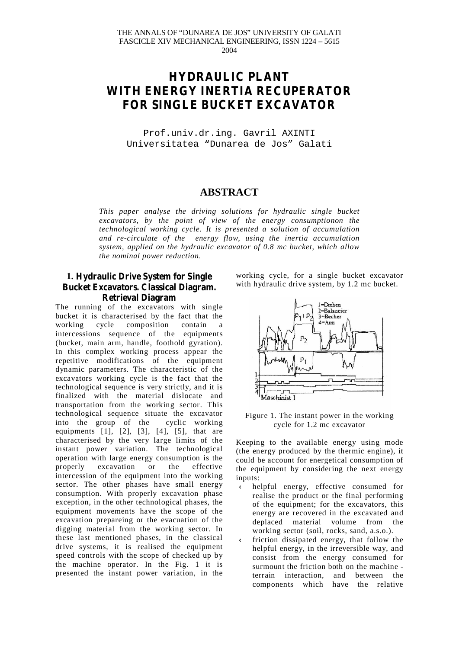#### THE ANNALS OF "DUNAREA DE JOS" UNIVERSITY OF GALATI FASCICLE XIV MECHANICAL ENGINEERING, ISSN 1224 – 5615 2004

# **HYDRAULIC PLANT WITH ENERGY INERTIA RECUPERATOR FOR SINGLE BUCKET EXCAVATOR**

Prof.univ.dr.ing. Gavril AXINTI Universitatea "Dunarea de Jos" Galati

## **ABSTRACT**

*This paper analyse the driving solutions for hydraulic single bucket excavators, by the point of view of the energy consumptionon the technological working cycle. It is presented a solution of accumulation and re-circulate of the energy flow, using the inertia accumulation system, applied on the hydraulic excavator of 0.8 mc bucket, which allow the nominal power reduction.*

## **1. Hydraulic Drive System for Single Bucket Excavators. Classical Diagram. Retrieval Diagram**

The running of the excavators with single bucket it is characterised by the fact that the working cycle composition contain a intercessions sequence of the equipments (bucket, main arm, handle, foothold gyration). In this complex working process appear the repetitive modifications of the equipment dynamic parameters. The characteristic of the excavators working cycle is the fact that the technological sequence is very strictly, and it is finalized with the material dislocate and transportation from the working sector. This technological sequence situate the excavator into the group of the cyclic working equipments  $[1]$ ,  $[2]$ ,  $[3]$ ,  $[4]$ ,  $[5]$ , that are characterised by the very large limits of the instant power variation. The technological operation with large energy consumption is the properly excavation or the effective intercession of the equipment into the working sector. The other phases have small energy consumption. With properly excavation phase exception, in the other technological phases, the equipment movements have the scope of the excavation prepareing or the evacuation of the digging material from the working sector. In these last mentioned phases, in the classical drive systems, it is realised the equipment speed controls with the scope of checked up by the machine operator. In the Fig. 1 it is presented the instant power variation, in the working cycle, for a single bucket excavator with hydraulic drive system, by 1.2 mc bucket.



Figure 1. The instant power in the working cycle for 1.2 mc excavator

Keeping to the available energy using mode (the energy produced by the thermic engine), it could be account for energetical consumption of the equipment by considering the next energy inputs:

- Ü helpful energy, effective consumed for realise the product or the final performing of the equipment; for the excavators, this energy are recovered in the excavated and deplaced material volume from the working sector (soil, rocks, sand, a.s.o.).
- Ü friction dissipated energy, that follow the helpful energy, in the irreversible way, and consist from the energy consumed for surmount the friction both on the machine terrain interaction, and between the components which have the relative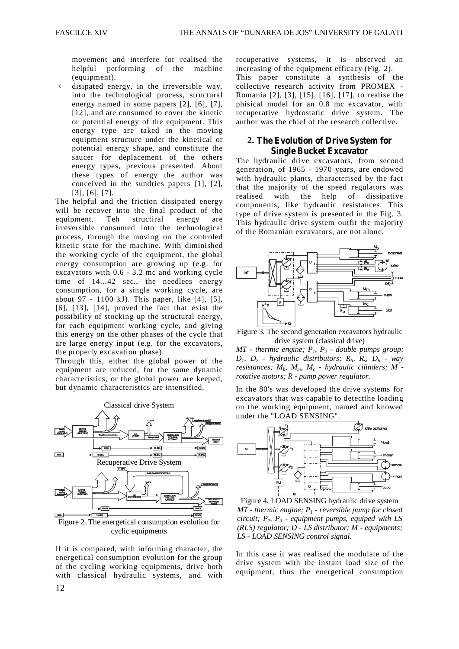movement and interfere for realised the helpful performing of the machine (equipment).

Ü disipated energy, in the irreversible way, into the technological process, structural energy named in some papers [2], [6], [7], [12], and are consumed to cover the kinetic or potential energy of the equipment. This energy type are taked in the moving equipment structure under the kinetical or potential energy shape, and constitute the saucer for deplacement of the others energy types, previous presented. About these types of energy the author was conceived in the sundries papers [1], [2], [3], [6], [7].

The helpful and the friction dissipated energy will be recover into the final product of the equipment. Teh structiral energy are irreversible consumed into the technological process, through the moving on the controled kinetic state for the machine. With diminished the working cycle of the equipment, the global energy consumption are growing up (e.g. for excavators with 0.6 - 3.2 mc and working cycle time of 14...42 sec., the needlees energy consumption, for a single working cycle, are about 97 - 1100 kJ). This paper, like [4], [5],  $[6]$ ,  $[13]$ ,  $[14]$ , proved the fact that exist the possibility of stocking up the structural energy, for each equipment working cycle, and giving this energy on the other phases of the cycle that are large energy input (e.g. for the excavators, the properly excavation phase).

Through this, either the global power of the equipment are reduced, for the same dynamic characteristics, or the global power are keeped, but dynamic characteristics are intensified.



If it is compared, with informing character, the energetical consumption evolution for the group of the cycling working equipments, drive both with classical hydraulic systems, and with

recuperative systems, it is observed an increasing of the equipment efficacy (Fig. 2). This paper constitute a synthesis of the collective research activity from PROMEX - Romania [2], [3], [15], [16], [17], to realise the phisical model for an 0.8 mc excavator, with recuperative hydrostatic drive system. The author was the chief of the research collective.

### **2. The Evolution of Drive System for Single Bucket Excavator**

The hydraulic drive excavators, from second generation, of 1965 - 1970 years, are endowed with hydraulic plants, characterised by the fact that the majority of the speed regulators was realised with the help of dissipative components, like hydraulic resistances. This type of drive system is presented in the Fig. 3. This hydraulic drive system outfit the majority of the Romanian excavators, are not alone.



Figure 3. The second generation excavators hydraulic drive system (classical drive)

*MT - thermic engine;*  $P_1$ ,  $P_2$  *- double pumps group;*  $D_1$ ,  $D_2$  *- hydraulic distributors;*  $R_b$ ,  $R_s$ ,  $D_b$  *- way resistances; Mb, Mm, M<sup>c</sup> - hydraulic cilinders; M rotative motors; R - pump power regulator.*

In the 80's was developed the drive systems for excavators that was capable to detectthe loading on the working equipment, named and knowed under the "LOAD SENSING".



Figure 4. LOAD SENSING hydraulic drive system *MT - thermic engine; P<sup>1</sup> - reversible pump for closed circuit; P2, P<sup>3</sup> - equipment pumps, equiped with LS (RLS) regulator; D - LS distributor; M - equipments; LS - LOAD SENSING control signal.*

In this case it was realised the modulate of the drive system with the instant load size of the equipment, thus the energetical consumption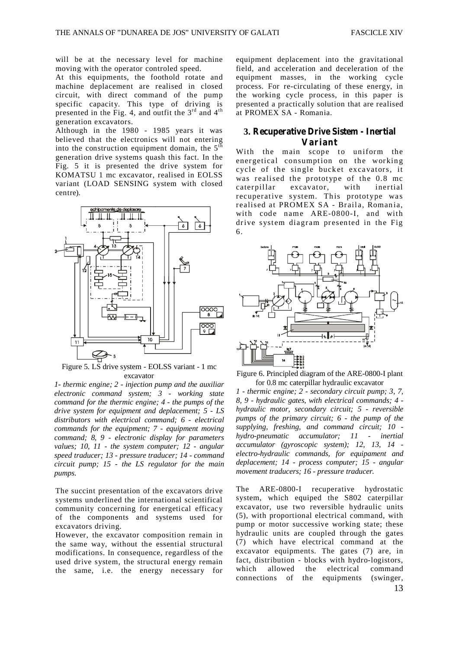will be at the necessary level for machine moving with the operator controled speed.

At this equipments, the foothold rotate and machine deplacement are realised in closed circuit, with direct command of the pump specific capacity. This type of driving is presented in the Fig. 4, and outfit the  $3<sup>rd</sup>$  and  $4<sup>th</sup>$ generation excavators.

Although in the 1980 - 1985 years it was believed that the electronics will not entering into the construction equipment domain, the  $5<sup>th</sup>$ generation drive systems quash this fact. In the Fig. 5 it is presented the drive system for KOMATSU 1 mc excavator, realised in EOLSS variant (LOAD SENSING system with closed centre).



Figure 5. LS drive system - EOLSS variant - 1 mc excavator

*1- thermic engine; 2 - injection pump and the auxiliar electronic command system; 3 - working state command for the thermic engine; 4 - the pumps of the drive system for equipment and deplacement; 5 - LS distributors with electrical command; 6 - electrical commands for the equipment; 7 - equipment moving command; 8, 9 - electronic display for parameters values; 10, 11 - the system computer; 12 - angular speed traducer; 13 - pressure traducer; 14 - command circuit pump; 15 - the LS regulator for the main pumps.*

The succint presentation of the excavators drive systems underlined the international scientifical community concerning for energetical efficacy of the components and systems used for excavators driving.

However, the excavator composition remain in the same way, without the essential structural modifications. In consequence, regardless of the used drive system, the structural energy remain the same, i.e. the energy necessary for

equipment deplacement into the gravitational field, and acceleration and deceleration of the equipment masses, in the working cycle process. For re-circulating of these energy, in the working cycle process, in this paper is presented a practically solution that are realised at PROMEX SA - Romania.

#### **3. Recuperative Drive Sistem - Inertial Variant**

With the main scope to uniform the energetical consumption on the working cycle of the single bucket excavators, it was realised the prototype of the 0.8 mc caterpillar excavator, with inertial recuperative system. This prototype was realised at PROMEX SA - Braila, Romania, with code name ARE-0800-I, and with drive system diagram presented in the Fig 6.



Figure 6. Principled diagram of the ARE-0800-I plant for 0.8 mc caterpillar hydraulic excavator

*1 - thermic engine; 2 - secondary circuit pump; 3, 7, 8, 9 - hydraulic gates, with electrical commands; 4 hydraulic motor, secondary circuit; 5 - reversible pumps of the primary circuit; 6 - the pump of the supplying, freshing, and command circuit; 10 hydro-pneumatic accumulator; 11 - inertial accumulator (gyroscopic system); 12, 13, 14 electro-hydraulic commands, for equipament and deplacement; 14 - process computer; 15 - angular movement traducers; 16 - pressure traducer.*

The ARE-0800-I recuperative hydrostatic system, which equiped the S802 caterpillar excavator, use two reversible hydraulic units (5), with proportional electrical command, with pump or motor successive working state; these hydraulic units are coupled through the gates (7) which have electrical command at the excavator equipments. The gates (7) are, in fact, distribution - blocks with hydro-logistors, which allowed the electrical command<br>connections of the equipments (swinger, connections of the equipments (swinger,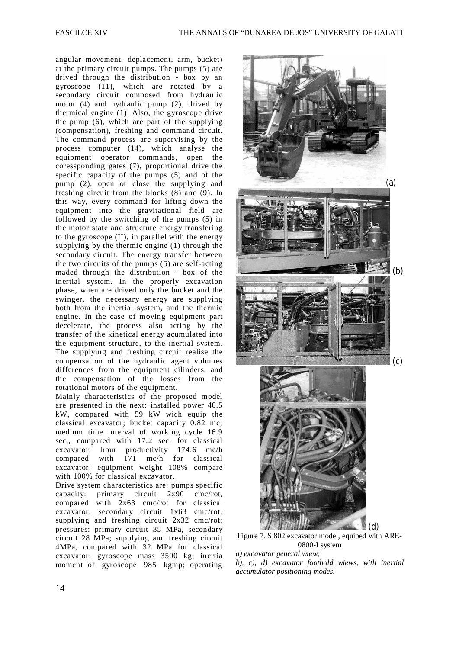angular movement, deplacement, arm, bucket) at the primary circuit pumps. The pumps (5) are drived through the distribution - box by an gyroscope (11), which are rotated by a secondary circuit composed from hydraulic motor (4) and hydraulic pump (2), drived by thermical engine (1). Also, the gyroscope drive the pump (6), which are part of the supplying (compensation), freshing and command circuit. The command process are supervising by the process computer (14), which analyse the equipment operator commands, open the coressponding gates (7), proportional drive the specific capacity of the pumps (5) and of the pump (2), open or close the supplying and freshing circuit from the blocks (8) and (9). In this way, every command for lifting down the equipment into the gravitational field are followed by the switching of the pumps (5) in the motor state and structure energy transfering to the gyroscope (II), in parallel with the energy supplying by the thermic engine (1) through the secondary circuit. The energy transfer between the two circuits of the pumps (5) are self-acting maded through the distribution - box of the inertial system. In the properly excavation phase, when are drived only the bucket and the swinger, the necessary energy are supplying both from the inertial system, and the thermic engine. In the case of moving equipment part decelerate, the process also acting by the transfer of the kinetical energy acumulated into the equipment structure, to the inertial system. The supplying and freshing circuit realise the compensation of the hydraulic agent volumes differences from the equipment cilinders, and the compensation of the losses from the rotational motors of the equipment.

Mainly characteristics of the proposed model are presented in the next: installed power 40.5 kW, compared with 59 kW wich equip the classical excavator; bucket capacity 0.82 mc; medium time interval of working cycle 16.9 sec., compared with 17.2 sec. for classical excavator; hour productivity 174.6 mc/h compared with 171 mc/h for classical excavator; equipment weight 108% compare with 100% for classical excavator.

Drive system characteristics are: pumps specific capacity: primary circuit 2x90 cmc/rot, compared with 2x63 cmc/rot for classical excavator, secondary circuit 1x63 cmc/rot; supplying and freshing circuit 2x32 cmc/rot; pressures: primary circuit 35 MPa, secondary circuit 28 MPa; supplying and freshing circuit 4MPa, compared with 32 MPa for classical excavator; gyroscope mass 3500 kg; inertia moment of gyroscope 985 kgmp; operating



Figure 7. S 802 excavator model, equiped with ARE-0800-I system

*a) excavator general wiew;*

*b), c), d) excavator foothold wiews, with inertial accumulator positioning modes.*